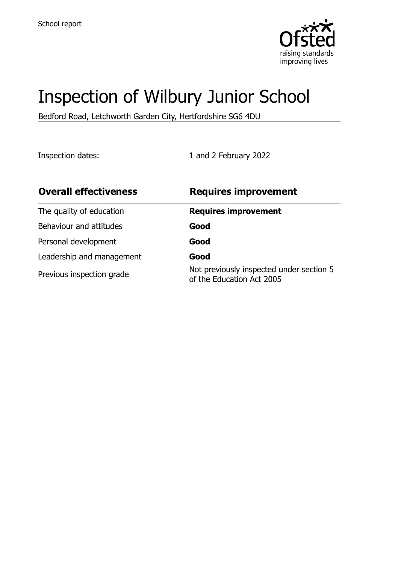

# Inspection of Wilbury Junior School

Bedford Road, Letchworth Garden City, Hertfordshire SG6 4DU

Inspection dates: 1 and 2 February 2022

| <b>Overall effectiveness</b> | <b>Requires improvement</b>                                           |
|------------------------------|-----------------------------------------------------------------------|
| The quality of education     | <b>Requires improvement</b>                                           |
| Behaviour and attitudes      | Good                                                                  |
| Personal development         | Good                                                                  |
| Leadership and management    | Good                                                                  |
| Previous inspection grade    | Not previously inspected under section 5<br>of the Education Act 2005 |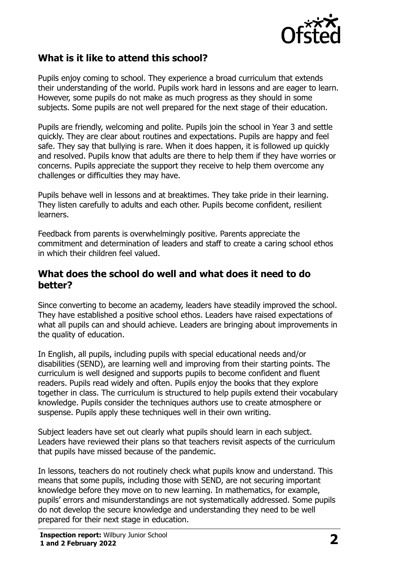

## **What is it like to attend this school?**

Pupils enjoy coming to school. They experience a broad curriculum that extends their understanding of the world. Pupils work hard in lessons and are eager to learn. However, some pupils do not make as much progress as they should in some subjects. Some pupils are not well prepared for the next stage of their education.

Pupils are friendly, welcoming and polite. Pupils join the school in Year 3 and settle quickly. They are clear about routines and expectations. Pupils are happy and feel safe. They say that bullying is rare. When it does happen, it is followed up quickly and resolved. Pupils know that adults are there to help them if they have worries or concerns. Pupils appreciate the support they receive to help them overcome any challenges or difficulties they may have.

Pupils behave well in lessons and at breaktimes. They take pride in their learning. They listen carefully to adults and each other. Pupils become confident, resilient learners.

Feedback from parents is overwhelmingly positive. Parents appreciate the commitment and determination of leaders and staff to create a caring school ethos in which their children feel valued.

#### **What does the school do well and what does it need to do better?**

Since converting to become an academy, leaders have steadily improved the school. They have established a positive school ethos. Leaders have raised expectations of what all pupils can and should achieve. Leaders are bringing about improvements in the quality of education.

In English, all pupils, including pupils with special educational needs and/or disabilities (SEND), are learning well and improving from their starting points. The curriculum is well designed and supports pupils to become confident and fluent readers. Pupils read widely and often. Pupils enjoy the books that they explore together in class. The curriculum is structured to help pupils extend their vocabulary knowledge. Pupils consider the techniques authors use to create atmosphere or suspense. Pupils apply these techniques well in their own writing.

Subject leaders have set out clearly what pupils should learn in each subject. Leaders have reviewed their plans so that teachers revisit aspects of the curriculum that pupils have missed because of the pandemic.

In lessons, teachers do not routinely check what pupils know and understand. This means that some pupils, including those with SEND, are not securing important knowledge before they move on to new learning. In mathematics, for example, pupils' errors and misunderstandings are not systematically addressed. Some pupils do not develop the secure knowledge and understanding they need to be well prepared for their next stage in education.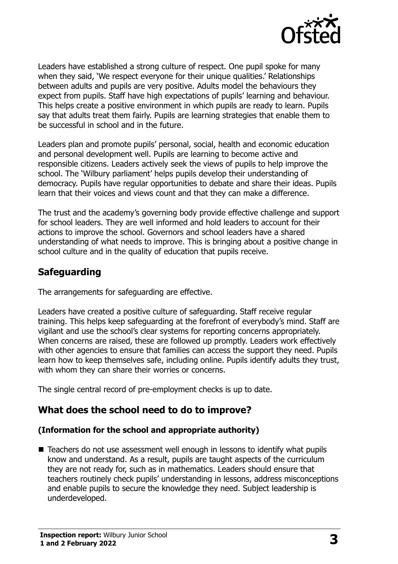

Leaders have established a strong culture of respect. One pupil spoke for many when they said, 'We respect everyone for their unique qualities.' Relationships between adults and pupils are very positive. Adults model the behaviours they expect from pupils. Staff have high expectations of pupils' learning and behaviour. This helps create a positive environment in which pupils are ready to learn. Pupils say that adults treat them fairly. Pupils are learning strategies that enable them to be successful in school and in the future.

Leaders plan and promote pupils' personal, social, health and economic education and personal development well. Pupils are learning to become active and responsible citizens. Leaders actively seek the views of pupils to help improve the school. The 'Wilbury parliament' helps pupils develop their understanding of democracy. Pupils have regular opportunities to debate and share their ideas. Pupils learn that their voices and views count and that they can make a difference.

The trust and the academy's governing body provide effective challenge and support for school leaders. They are well informed and hold leaders to account for their actions to improve the school. Governors and school leaders have a shared understanding of what needs to improve. This is bringing about a positive change in school culture and in the quality of education that pupils receive.

## **Safeguarding**

The arrangements for safeguarding are effective.

Leaders have created a positive culture of safeguarding. Staff receive regular training. This helps keep safeguarding at the forefront of everybody's mind. Staff are vigilant and use the school's clear systems for reporting concerns appropriately. When concerns are raised, these are followed up promptly. Leaders work effectively with other agencies to ensure that families can access the support they need. Pupils learn how to keep themselves safe, including online. Pupils identify adults they trust, with whom they can share their worries or concerns.

The single central record of pre-employment checks is up to date.

## **What does the school need to do to improve?**

#### **(Information for the school and appropriate authority)**

■ Teachers do not use assessment well enough in lessons to identify what pupils know and understand. As a result, pupils are taught aspects of the curriculum they are not ready for, such as in mathematics. Leaders should ensure that teachers routinely check pupils' understanding in lessons, address misconceptions and enable pupils to secure the knowledge they need. Subject leadership is underdeveloped.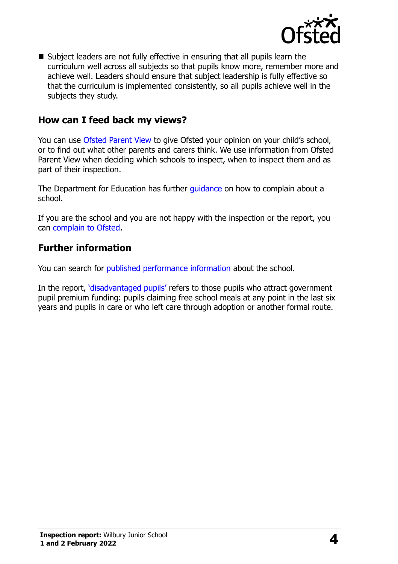

 Subject leaders are not fully effective in ensuring that all pupils learn the curriculum well across all subjects so that pupils know more, remember more and achieve well. Leaders should ensure that subject leadership is fully effective so that the curriculum is implemented consistently, so all pupils achieve well in the subjects they study.

### **How can I feed back my views?**

You can use [Ofsted Parent View](http://parentview.ofsted.gov.uk/) to give Ofsted your opinion on your child's school, or to find out what other parents and carers think. We use information from Ofsted Parent View when deciding which schools to inspect, when to inspect them and as part of their inspection.

The Department for Education has further quidance on how to complain about a school.

If you are the school and you are not happy with the inspection or the report, you can [complain to Ofsted.](http://www.gov.uk/complain-ofsted-report)

#### **Further information**

You can search for [published performance information](http://www.compare-school-performance.service.gov.uk/) about the school.

In the report, '[disadvantaged pupils](http://www.gov.uk/guidance/pupil-premium-information-for-schools-and-alternative-provision-settings)' refers to those pupils who attract government pupil premium funding: pupils claiming free school meals at any point in the last six years and pupils in care or who left care through adoption or another formal route.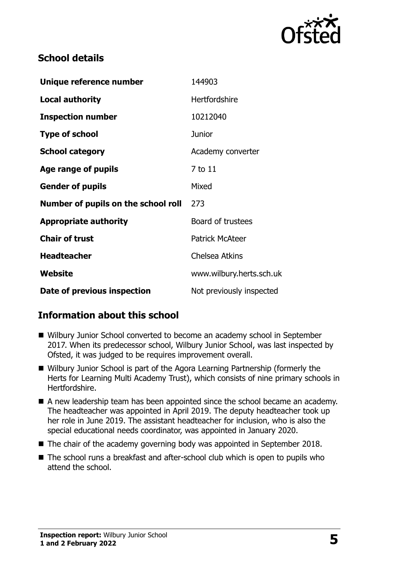

## **School details**

| Unique reference number             | 144903                   |
|-------------------------------------|--------------------------|
| <b>Local authority</b>              | <b>Hertfordshire</b>     |
| <b>Inspection number</b>            | 10212040                 |
| <b>Type of school</b>               | <b>Junior</b>            |
| <b>School category</b>              | Academy converter        |
| Age range of pupils                 | 7 to 11                  |
| <b>Gender of pupils</b>             | Mixed                    |
| Number of pupils on the school roll | 273                      |
| <b>Appropriate authority</b>        | Board of trustees        |
| <b>Chair of trust</b>               | <b>Patrick McAteer</b>   |
| <b>Headteacher</b>                  | <b>Chelsea Atkins</b>    |
| <b>Website</b>                      | www.wilbury.herts.sch.uk |
| Date of previous inspection         | Not previously inspected |

## **Information about this school**

- Wilbury Junior School converted to become an academy school in September 2017. When its predecessor school, Wilbury Junior School, was last inspected by Ofsted, it was judged to be requires improvement overall.
- Wilbury Junior School is part of the Agora Learning Partnership (formerly the Herts for Learning Multi Academy Trust), which consists of nine primary schools in Hertfordshire.
- A new leadership team has been appointed since the school became an academy. The headteacher was appointed in April 2019. The deputy headteacher took up her role in June 2019. The assistant headteacher for inclusion, who is also the special educational needs coordinator, was appointed in January 2020.
- The chair of the academy governing body was appointed in September 2018.
- The school runs a breakfast and after-school club which is open to pupils who attend the school.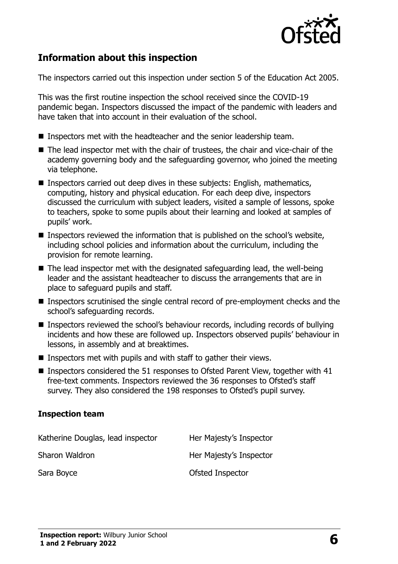

## **Information about this inspection**

The inspectors carried out this inspection under section 5 of the Education Act 2005.

This was the first routine inspection the school received since the COVID-19 pandemic began. Inspectors discussed the impact of the pandemic with leaders and have taken that into account in their evaluation of the school.

- **Inspectors met with the headteacher and the senior leadership team.**
- The lead inspector met with the chair of trustees, the chair and vice-chair of the academy governing body and the safeguarding governor, who joined the meeting via telephone.
- **Inspectors carried out deep dives in these subjects: English, mathematics,** computing, history and physical education. For each deep dive, inspectors discussed the curriculum with subject leaders, visited a sample of lessons, spoke to teachers, spoke to some pupils about their learning and looked at samples of pupils' work.
- Inspectors reviewed the information that is published on the school's website, including school policies and information about the curriculum, including the provision for remote learning.
- $\blacksquare$  The lead inspector met with the designated safeguarding lead, the well-being leader and the assistant headteacher to discuss the arrangements that are in place to safeguard pupils and staff.
- Inspectors scrutinised the single central record of pre-employment checks and the school's safeguarding records.
- Inspectors reviewed the school's behaviour records, including records of bullying incidents and how these are followed up. Inspectors observed pupils' behaviour in lessons, in assembly and at breaktimes.
- Inspectors met with pupils and with staff to gather their views.
- Inspectors considered the 51 responses to Ofsted Parent View, together with 41 free-text comments. Inspectors reviewed the 36 responses to Ofsted's staff survey. They also considered the 198 responses to Ofsted's pupil survey.

#### **Inspection team**

| Katherine Douglas, lead inspector | Her Majesty's Inspector |
|-----------------------------------|-------------------------|
| Sharon Waldron                    | Her Majesty's Inspector |
| Sara Boyce                        | Ofsted Inspector        |